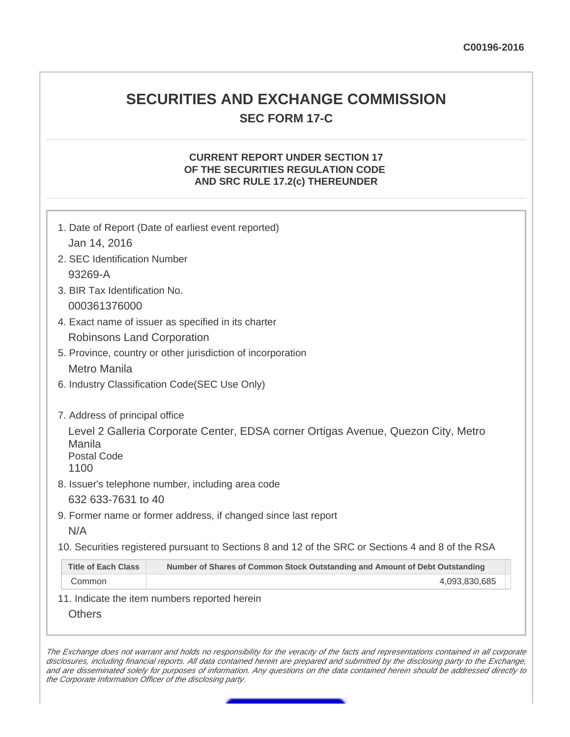## **SECURITIES AND EXCHANGE COMMISSION SEC FORM 17-C**

## **CURRENT REPORT UNDER SECTION 17 OF THE SECURITIES REGULATION CODE AND SRC RULE 17.2(c) THEREUNDER**

| 1. Date of Report (Date of earliest event reported)                                                                                                                                                                                                                                                      |  |
|----------------------------------------------------------------------------------------------------------------------------------------------------------------------------------------------------------------------------------------------------------------------------------------------------------|--|
| Jan 14, 2016                                                                                                                                                                                                                                                                                             |  |
| 2. SEC Identification Number                                                                                                                                                                                                                                                                             |  |
| 93269-A                                                                                                                                                                                                                                                                                                  |  |
| 3. BIR Tax Identification No.                                                                                                                                                                                                                                                                            |  |
| 000361376000                                                                                                                                                                                                                                                                                             |  |
| 4. Exact name of issuer as specified in its charter                                                                                                                                                                                                                                                      |  |
| <b>Robinsons Land Corporation</b>                                                                                                                                                                                                                                                                        |  |
| 5. Province, country or other jurisdiction of incorporation                                                                                                                                                                                                                                              |  |
| Metro Manila                                                                                                                                                                                                                                                                                             |  |
| 6. Industry Classification Code(SEC Use Only)                                                                                                                                                                                                                                                            |  |
| 7. Address of principal office<br>Level 2 Galleria Corporate Center, EDSA corner Ortigas Avenue, Quezon City, Metro<br>Manila<br><b>Postal Code</b><br>1100<br>8. Issuer's telephone number, including area code<br>632 633-7631 to 40<br>9. Former name or former address, if changed since last report |  |
| N/A                                                                                                                                                                                                                                                                                                      |  |
| 10. Securities registered pursuant to Sections 8 and 12 of the SRC or Sections 4 and 8 of the RSA                                                                                                                                                                                                        |  |
| <b>Title of Each Class</b><br>Number of Shares of Common Stock Outstanding and Amount of Debt Outstanding                                                                                                                                                                                                |  |
| Common<br>4,093,830,685                                                                                                                                                                                                                                                                                  |  |
| 11. Indicate the item numbers reported herein                                                                                                                                                                                                                                                            |  |
| <b>Others</b>                                                                                                                                                                                                                                                                                            |  |

The Exchange does not warrant and holds no responsibility for the veracity of the facts and representations contained in all corporate disclosures, including financial reports. All data contained herein are prepared and submitted by the disclosing party to the Exchange, and are disseminated solely for purposes of information. Any questions on the data contained herein should be addressed directly to the Corporate Information Officer of the disclosing party.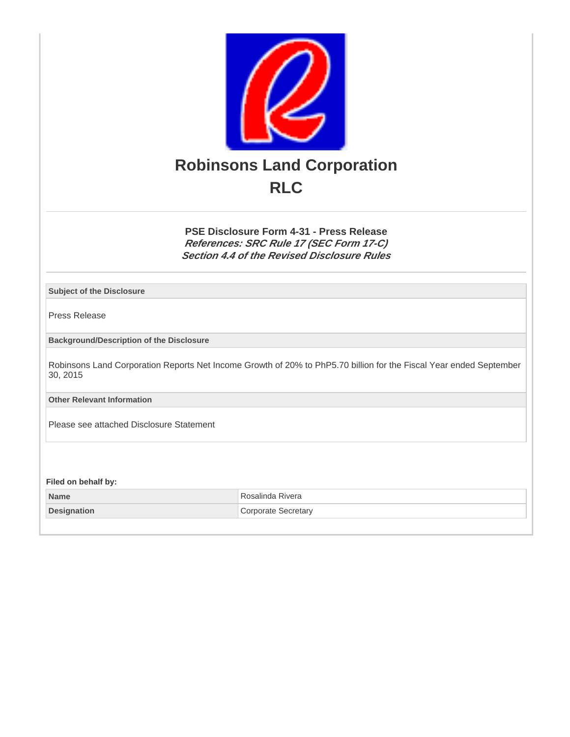

**PSE Disclosure Form 4-31 - Press Release References: SRC Rule 17 (SEC Form 17-C) Section 4.4 of the Revised Disclosure Rules**

**Subject of the Disclosure**

Press Release

**Background/Description of the Disclosure**

Robinsons Land Corporation Reports Net Income Growth of 20% to PhP5.70 billion for the Fiscal Year ended September 30, 2015

**Other Relevant Information**

Please see attached Disclosure Statement

**Filed on behalf by:**

**Name** Rosalinda Rivera **Designation Corporate Secretary**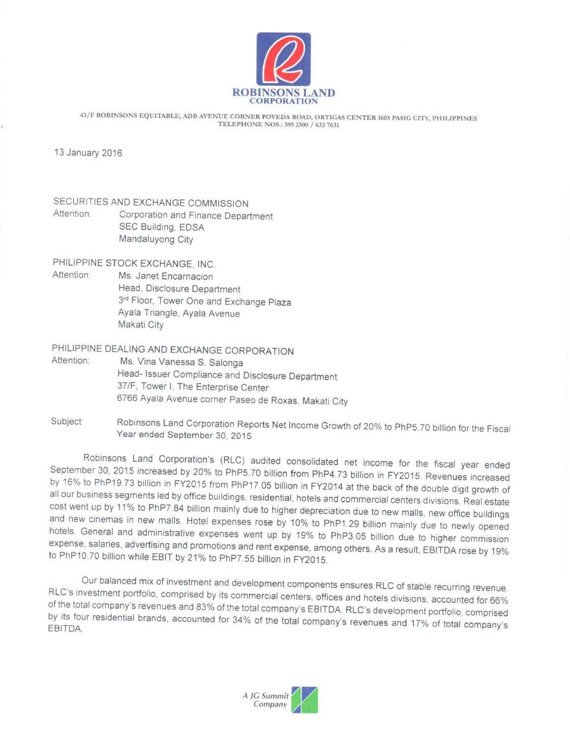

43/F ROBINSONS EQUITABLE, ADB AVENUE CORNER POVEDA ROAD, ORTIGAS CENTER 1605 PASIG CITY, PHILIPPINES TELEPHONE NOS.: 395 2500 / 633 7631

13 January 2016

SECURITIES AND EXCHANGE COMMISSION Attention: Corporation and Finance Department SEC Building, EDSA Mandaluyong City

PHILIPPINE STOCK EXCHANGE, INC.

Attention: Ms. Janet Encarnacion Head, Disclosure Department 3rd Floor, Tower One and Exchange Plaza Ayala Triangle, Ayala Avenue Makati City

PHILIPPINE DEALING AND EXCHANGE CORPORATION

- Attention: Ms. Vina Vanessa S. Salonga Head- Issuer Compliance and Disclosure Department 37/F, Tower I, The Enterprise Center 6766 Ayala Avenue corner Paseo de Roxas, Makati City
- Robinsons Land Corporation Reports Net Income Growth of 20% to PhP5.70 billion for the Fiscal Subject: Year ended September 30, 2015

Robinsons Land Corporation's (RLC) audited consolidated net income for the fiscal year ended September 30, 2015 increased by 20% to PhP5.70 billion from PhP4.73 billion in FY2015. Revenues increased by 16% to PhP19.73 billion in FY2015 from PhP17.05 billion in FY2014 at the back of the double digit growth of all our business segments led by office buildings, residential, hotels and commercial centers divisions. Real estate cost went up by 11% to PhP7.84 billion mainly due to higher depreciation due to new malls, new office buildings and new cinemas in new malls. Hotel expenses rose by 10% to PhP1.29 billion mainly due to newly opened hotels. General and administrative expenses went up by 19% to PhP3.05 billion due to higher commission expense, salaries, advertising and promotions and rent expense, among others. As a result, EBITDA rose by 19% to PhP10.70 billion while EBIT by 21% to PhP7.55 billion in FY2015.

Our balanced mix of investment and development components ensures RLC of stable recurring revenue. RLC's investment portfolio, comprised by its commercial centers, offices and hotels divisions, accounted for 66% of the total company's revenues and 83% of the total company's EBITDA. RLC's development portfolio, comprised by its four residential brands, accounted for 34% of the total company's revenues and 17% of total company's EBITDA.